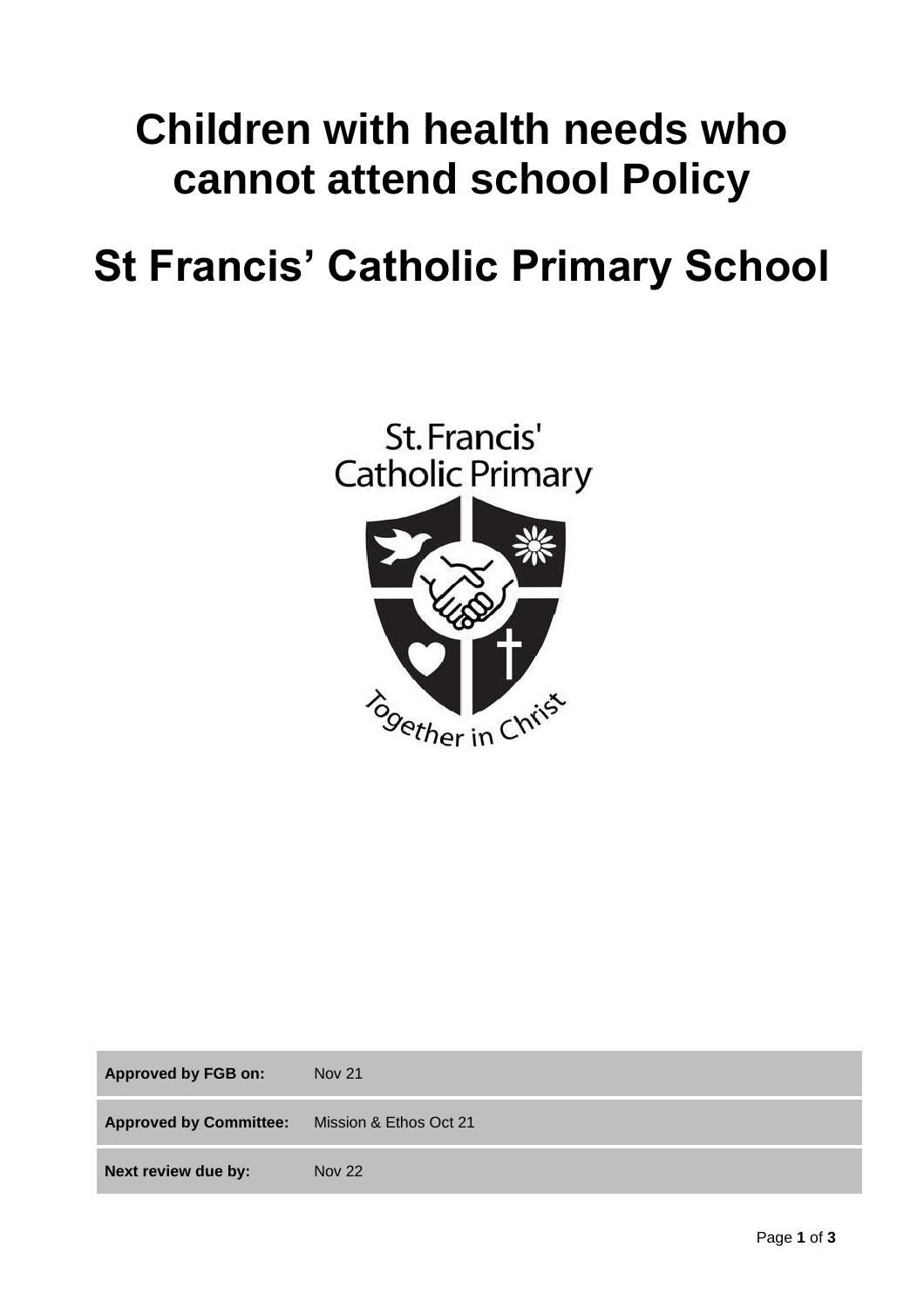# **Children with health needs who cannot attend school Policy**

# **St Francis' Catholic Primary School**



| <b>Approved by FGB on:</b>    | <b>Nov 21</b>          |
|-------------------------------|------------------------|
| <b>Approved by Committee:</b> | Mission & Ethos Oct 21 |
| Next review due by:           | <b>Nov 22</b>          |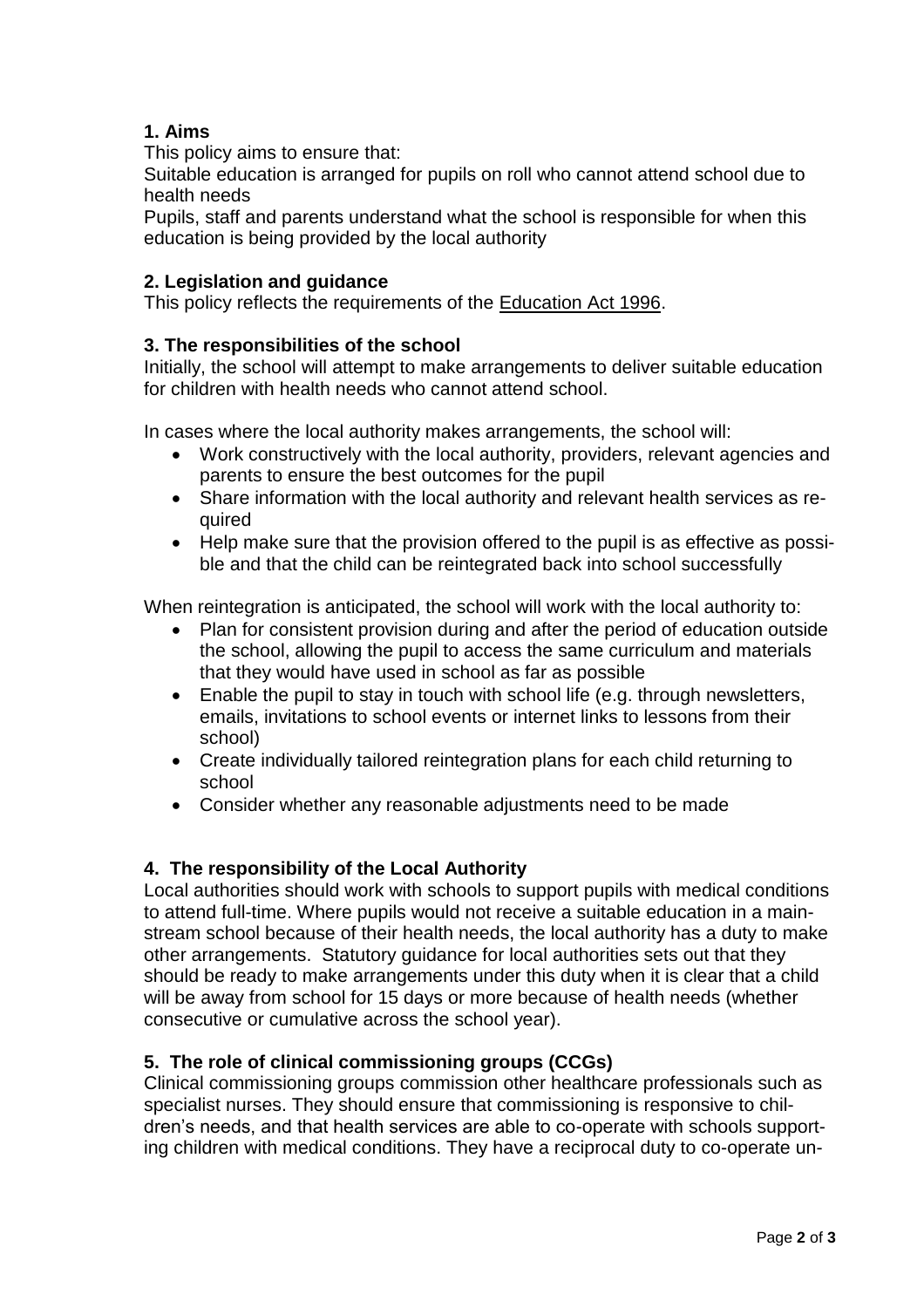## **1. Aims**

This policy aims to ensure that:

Suitable education is arranged for pupils on roll who cannot attend school due to health needs

Pupils, staff and parents understand what the school is responsible for when this education is being provided by the local authority

## **2. Legislation and guidance**

This policy reflects the requirements of the [Education Act 1996.](http://www.legislation.gov.uk/ukpga/1996/56/section/19)

## **3. The responsibilities of the school**

Initially, the school will attempt to make arrangements to deliver suitable education for children with health needs who cannot attend school.

In cases where the local authority makes arrangements, the school will:

- Work constructively with the local authority, providers, relevant agencies and parents to ensure the best outcomes for the pupil
- Share information with the local authority and relevant health services as required
- Help make sure that the provision offered to the pupil is as effective as possible and that the child can be reintegrated back into school successfully

When reintegration is anticipated, the school will work with the local authority to:

- Plan for consistent provision during and after the period of education outside the school, allowing the pupil to access the same curriculum and materials that they would have used in school as far as possible
- Enable the pupil to stay in touch with school life (e.g. through newsletters, emails, invitations to school events or internet links to lessons from their school)
- Create individually tailored reintegration plans for each child returning to school
- Consider whether any reasonable adjustments need to be made

### **4. The responsibility of the Local Authority**

Local authorities should work with schools to support pupils with medical conditions to attend full-time. Where pupils would not receive a suitable education in a mainstream school because of their health needs, the local authority has a duty to make other arrangements. Statutory guidance for local authorities sets out that they should be ready to make arrangements under this duty when it is clear that a child will be away from school for 15 days or more because of health needs (whether consecutive or cumulative across the school year).

### **5. The role of clinical commissioning groups (CCGs)**

Clinical commissioning groups commission other healthcare professionals such as specialist nurses. They should ensure that commissioning is responsive to children's needs, and that health services are able to co-operate with schools supporting children with medical conditions. They have a reciprocal duty to co-operate un